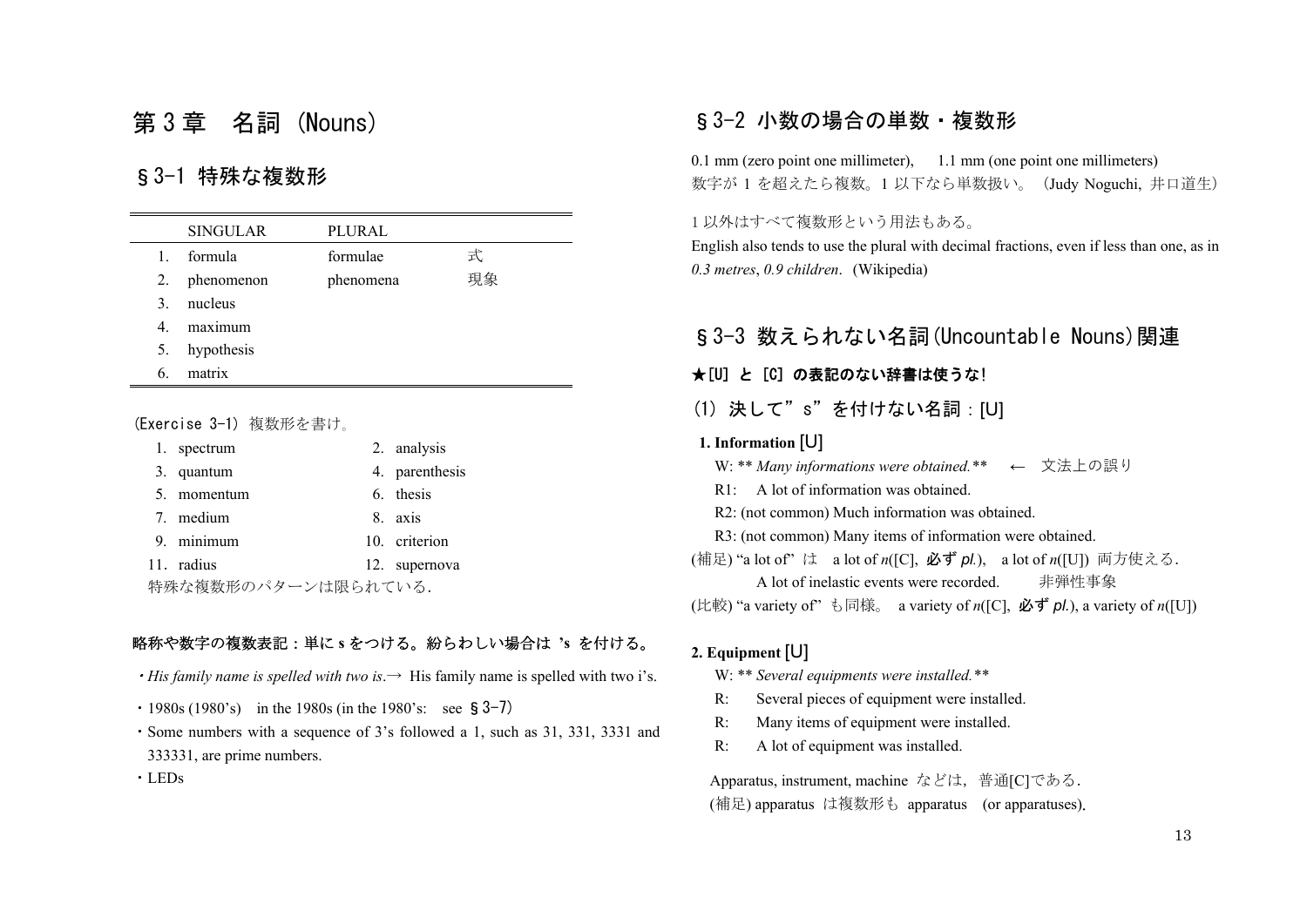# 第 3 章 名詞 (Nouns)

# §3-1 特殊な複数形

|    | <b>SINGULAR</b> | PLURAL    |    |
|----|-----------------|-----------|----|
| 1. | formula         | formulae  | 式  |
|    | 2. phenomenon   | phenomena | 現象 |
| 3. | nucleus         |           |    |
| 4. | maximum         |           |    |
|    | 5. hypothesis   |           |    |
| 6. | matrix          |           |    |

#### (Exercise 3-1) 複数形を書け。

| 1. spectrum         | 2. analysis    |
|---------------------|----------------|
| 3. quantum          | 4. parenthesis |
| 5. momentum         | 6. thesis      |
| 7. medium           | 8. axis        |
| 9. minimum          | 10. criterion  |
| 11. radius          | 12. supernova  |
| 特殊な複数形のパターンは限られている. |                |

#### 略称や数字の複数表記:単に **<sup>s</sup>** をつける。紛らわしい場合は **'s** を付ける。

- $\cdot$  *His family name is spelled with two is*.  $\rightarrow$  His family name is spelled with two i's.
- $\cdot$  1980s (1980's) in the 1980s (in the 1980's: see § 3–7)
- ・Some numbers with a sequence of 3's followed a 1, such as 31, 331, 3331 and 333331, are prime numbers.

・LEDs

## §3-2 小数の場合の単数・複数形

0.1 mm (zero point one millimeter), 1.1 mm (one point one millimeters) 数字が <sup>1</sup> を超えたら複数。<sup>1</sup> 以下なら単数扱い。(Judy Noguchi, 井口道生)

1 以外はすべて複数形という用法もある。

English also tends to use the plural with decimal fractions, even if less than one, as in *0.3 metres*, *0.9 children*. (Wikipedia)

## §3-3 数えられない名詞(Uncountable Nouns)関連

## **★[U] と [C] の表記のない辞書は使うな!**

(1) 決して"s"を付けない名詞:[U]

#### **1. Information** [U]

- W: \*\* *Many informations were obtained.\*\** <sup>←</sup> 文法上の誤り
- R1: A lot of information was obtained.
- R2: (not common) Much information was obtained.
- R3: (not common) Many items of information were obtained.
- (補足) "a lot of" は a lot of *n*([C], 必ず *pl.*), a lot of *n*([U]) 両方使える. A lot of inelastic events were recorded. 非弾性事象
- (比較) "a variety of" も同様。 a variety of *n*([C], 必ず *pl.*), a variety of *n*([U])

## **2. Equipment** [U]

- W: \*\* *Several equipments were installed.\*\**
- R: Several pieces of equipment were installed.
- R: Many items of equipment were installed.
- R: A lot of equipment was installed.

Apparatus, instrument, machine などは,普通[C]である. (補足) apparatus は複数形も apparatus (or apparatuses).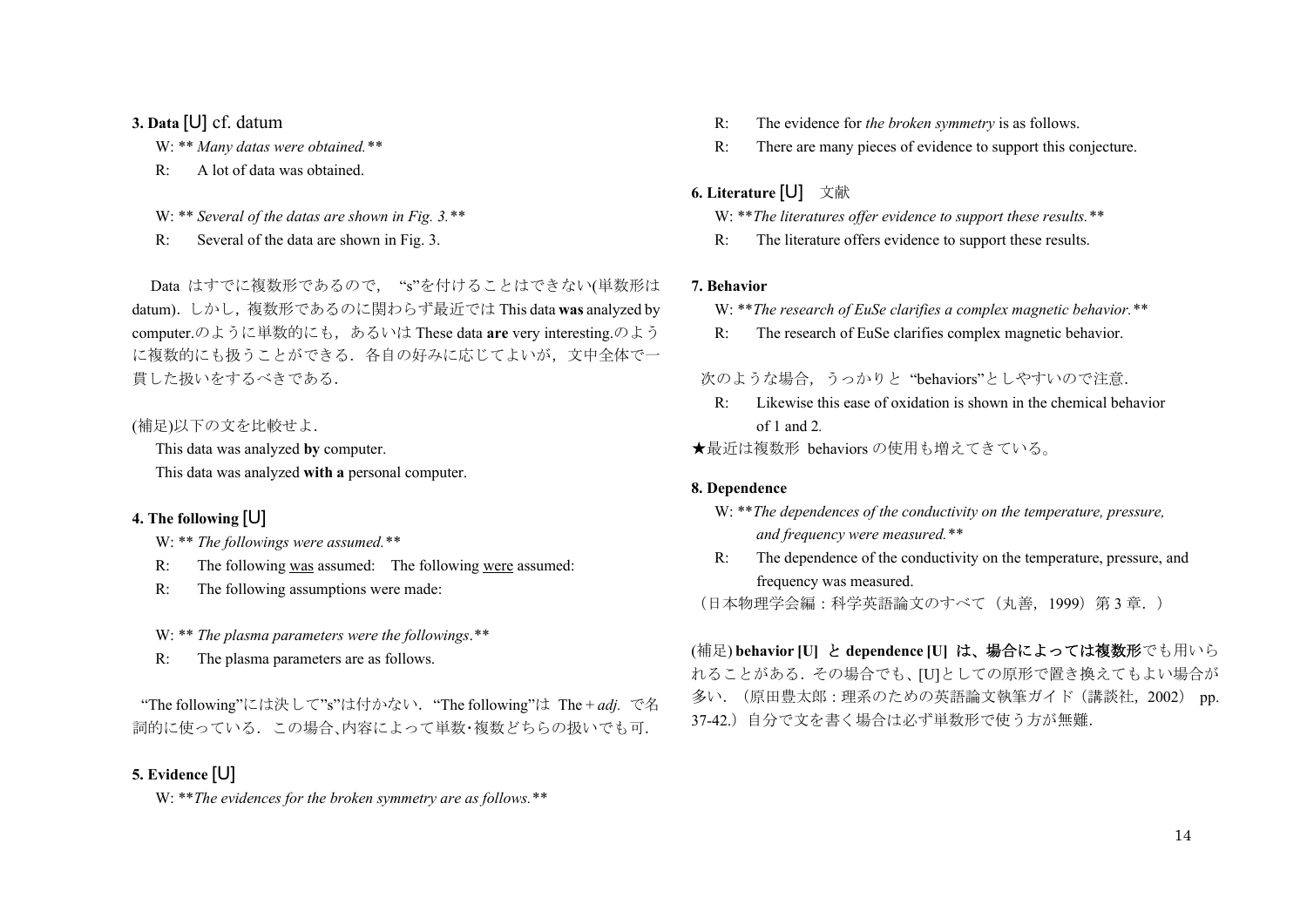#### **3. Data** [U] cf. datum

- W: \*\* *Many datas were obtained.\*\**
- R: A lot of data was obtained.
- W: \*\* *Several of the datas are shown in Fig. 3.\*\**
- R: Several of the data are shown in Fig. 3.

Data はすでに複数形であるので, "s"を付けることはできない(単数形は datum).しかし,複数形であるのに関わらず最近では This data **was** analyzed by computer.のように単数的にも、あるいは These data are very interesting.のよう に複数的にも扱うことができる. 各自の好みに応じてよいが、文中全体で一 貫した扱いをするべきである.

### (補足)以下の文を比較せよ.

This data was analyzed **by** computer.

This data was analyzed **with <sup>a</sup>** personal computer.

## **4. The following** [U]

- W: \*\* *The followings were assumed.\*\**
- R: The following was assumed: The following were assumed:
- R: The following assumptions were made:

W: \*\* *The plasma parameters were the followings*.*\*\** 

R: The plasma parameters are as follows.

"The following"には決して"s"は付かない."The following"は The + *adj.* で名 詞的に使っている.この場合、内容によって単数・複数どちらの扱いでも可.

## **5. Evidence** [U]

W: \*\**The evidences for the broken symmetry are as follows.\*\** 

- R: The evidence for *the broken symmetry* is as follows.
- R: There are many pieces of evidence to support this conjecture.

## **6. Literature** [U] 文献

- W: \*\**The literatures offer evidence to support these results.\*\**
- R: The literature offers evidence to support these results.

#### **7. Behavior**

- W: \*\**The research of EuSe clarifies a complex magnetic behavior.\*\**
- R: The research of EuSe clarifies complex magnetic behavior.

## 次のような場合,うっかりと "behaviors"としやすいので注意.

- R: Likewise this ease of oxidation is shown in the chemical behavior of 1 and 2*.*
- ★最近は複数形 behaviors の使用も増えてきている。

#### **8. Dependence**

- W: \*\**The dependences of the conductivity on the temperature, pressure, and frequency were measured.\*\**
- R: The dependence of the conductivity on the temperature, pressure, and frequency was measured.

(日本物理学会編:科学英語論文のすべて(丸善,1999)第 3 章.)

## (補足) **behavior [U]** と **dependence [U]** は、場合によっては複数形でも用いら

れることがある.その場合でも、[U]としての原形で置き換えてもよい場合が 多い.(原田豊太郎:理系のための英語論文執筆ガイド(講談社,2002) pp. 37-42.)自分で文を書く場合は必ず単数形で使う方が無難.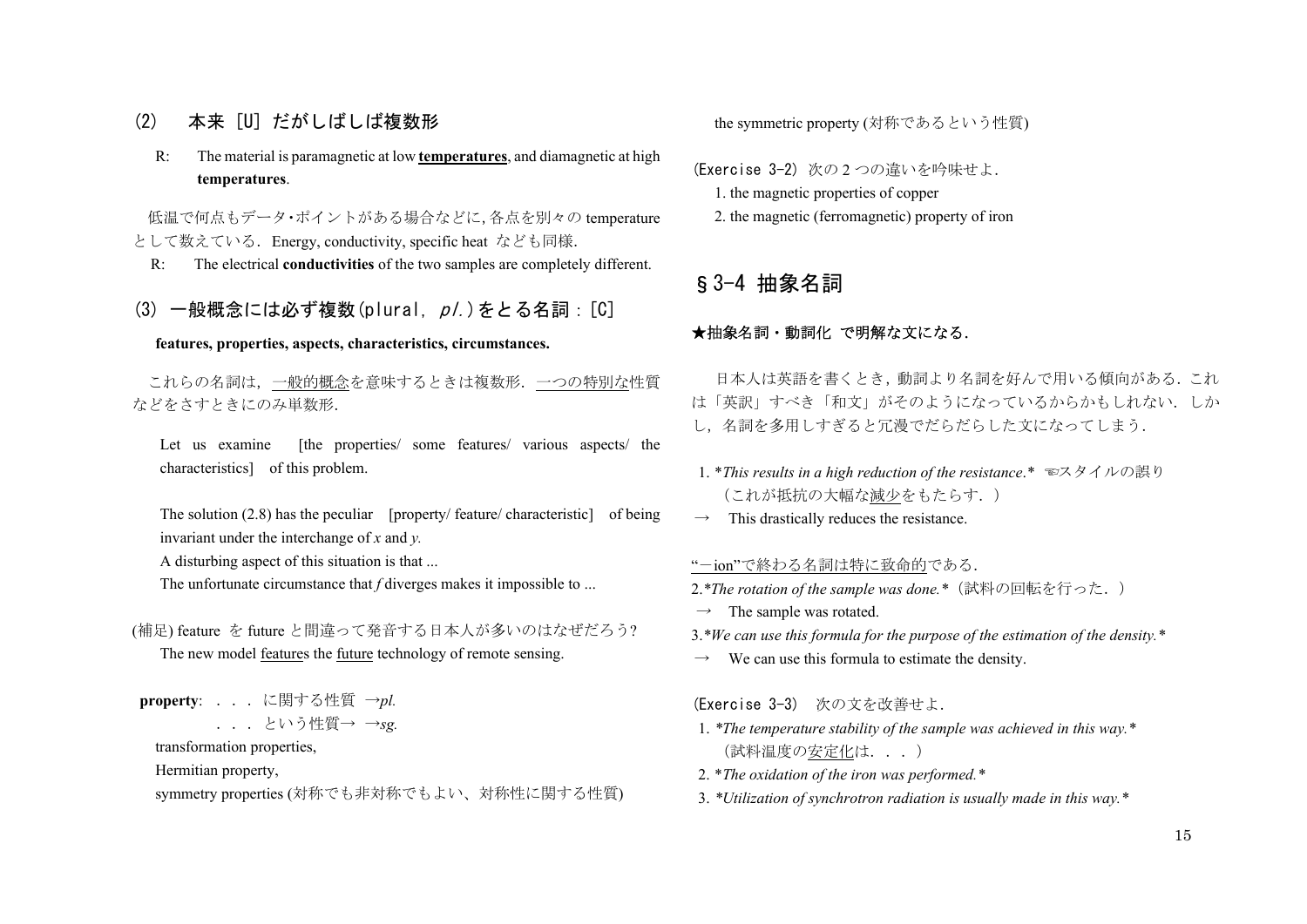## (2) 本来 [U] だがしばしば複数形

 R: The material is paramagnetic at low **temperatures**, and diamagnetic at high **temperatures**.

 低温で何点もデータ・ポイントがある場合などに,各点を別々の temperature として数えている. Energy, conductivity, specific heat なども同様.

R: The electrical **conductivities** of the two samples are completely different.

## $(3)$  一般概念には必ず複数 $($ plural $[$   $\rho$  $/$  $)$  をとる名詞:  $[$  $C]$

#### **features, properties, aspects, characteristics, circumstances.**

 これらの名詞は,一般的概念を意味するときは複数形.一つの特別な性質 などをさすときにのみ単数形.

Let us examine [the properties/ some features/ various aspects/ the characteristics] of this problem.

The solution (2.8) has the peculiar [property/ feature/ characteristic] of being invariant under the interchange of *x* and *y.* 

A disturbing aspect of this situation is that ...

The unfortunate circumstance that *f* diverges makes it impossible to ...

(補足) feature を future と間違って発音する日本人が多いのはなぜだろう?

The new model features the future technology of remote sensing.

**property**: ...に関する性質 <sup>→</sup>*pl.* ...という性質→ <sup>→</sup>*sg.* 

transformation properties,

Hermitian property,

symmetry properties (対称でも非対称でもよい、対称性に関する性質)

the symmetric property (対称であるという性質)

(Exercise 3-2) 次の 2 つの違いを吟味せよ.

- 1. the magnetic properties of copper
- 2. the magnetic (ferromagnetic) property of iron

## §3-4 抽象名詞

#### ★抽象名詞・動詞化 で明解な文になる.

日本人は英語を書くとき,動詞より名詞を好んで用いる傾向がある.これ は「英訳」すべき「和文」がそのようになっているからかもしれない.しか し,名詞を多用しすぎると冗漫でだらだらした文になってしまう.

- 1. \**This results in a high reduction of the resistance*.*\** ☜スタイルの誤り (これが抵抗の大幅な減少をもたらす.)
- This drastically reduces the resistance.

" -ion"で終わる名詞は特に致命的である.

2.*\*The rotation of the sample was done.\**(試料の回転を行った.)

 $\rightarrow$  The sample was rotated.

3.*\*We can use this formula for the purpose of the estimation of the density.\**

 $\rightarrow$  We can use this formula to estimate the density.

(Exercise 3-3) 次の文を改善せよ.

- 1. *\*The temperature stability of the sample was achieved in this way.\**  (試料温度の安定化は...)
- 2. \**The oxidation of the iron was performed.\**
- 3. *\*Utilization of synchrotron radiation is usually made in this way.\**